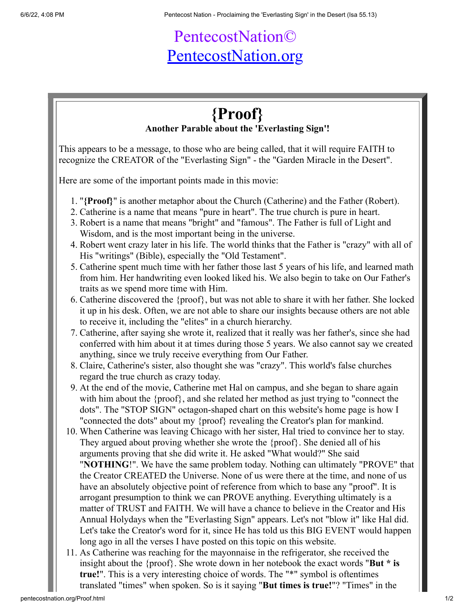## PentecostNation© [PentecostNation.org](http://pentecostnation.org/)

## **{Proof} Another Parable about the 'Everlasting Sign'!**

This appears to be a message, to those who are being called, that it will require FAITH to recognize the CREATOR of the "Everlasting Sign" - the "Garden Miracle in the Desert".

Here are some of the important points made in this movie:

- 1. "**{Proof}**" is another metaphor about the Church (Catherine) and the Father (Robert).
- 2. Catherine is a name that means "pure in heart". The true church is pure in heart.
- 3. Robert is a name that means "bright" and "famous". The Father is full of Light and Wisdom, and is the most important being in the universe.
- 4. Robert went crazy later in his life. The world thinks that the Father is "crazy" with all of His "writings" (Bible), especially the "Old Testament".
- 5. Catherine spent much time with her father those last 5 years of his life, and learned math from him. Her handwriting even looked liked his. We also begin to take on Our Father's traits as we spend more time with Him.
- 6. Catherine discovered the {proof}, but was not able to share it with her father. She locked it up in his desk. Often, we are not able to share our insights because others are not able to receive it, including the "elites" in a church hierarchy.
- 7. Catherine, after saying she wrote it, realized that it really was her father's, since she had conferred with him about it at times during those 5 years. We also cannot say we created anything, since we truly receive everything from Our Father.
- 8. Claire, Catherine's sister, also thought she was "crazy". This world's false churches regard the true church as crazy today.
- 9. At the end of the movie, Catherine met Hal on campus, and she began to share again with him about the {proof}, and she related her method as just trying to "connect the dots". The "STOP SIGN" octagon-shaped chart on this website's home page is how I "connected the dots" about my {proof} revealing the Creator's plan for mankind.
- 10. When Catherine was leaving Chicago with her sister, Hal tried to convince her to stay. They argued about proving whether she wrote the {proof}. She denied all of his arguments proving that she did write it. He asked "What would?" She said "**NOTHING**!". We have the same problem today. Nothing can ultimately "PROVE" that the Creator CREATED the Universe. None of us were there at the time, and none of us have an absolutely objective point of reference from which to base any "proof". It is arrogant presumption to think we can PROVE anything. Everything ultimately is a matter of TRUST and FAITH. We will have a chance to believe in the Creator and His Annual Holydays when the "Everlasting Sign" appears. Let's not "blow it" like Hal did. Let's take the Creator's word for it, since He has told us this BIG EVENT would happen long ago in all the verses I have posted on this topic on this website.
- 11. As Catherine was reaching for the mayonnaise in the refrigerator, she received the insight about the {proof}. She wrote down in her notebook the exact words "**But \* is true!**". This is a very interesting choice of words. The "\*" symbol is oftentimes translated "times" when spoken. So is it saying "**But times is true!**"? "Times" in the